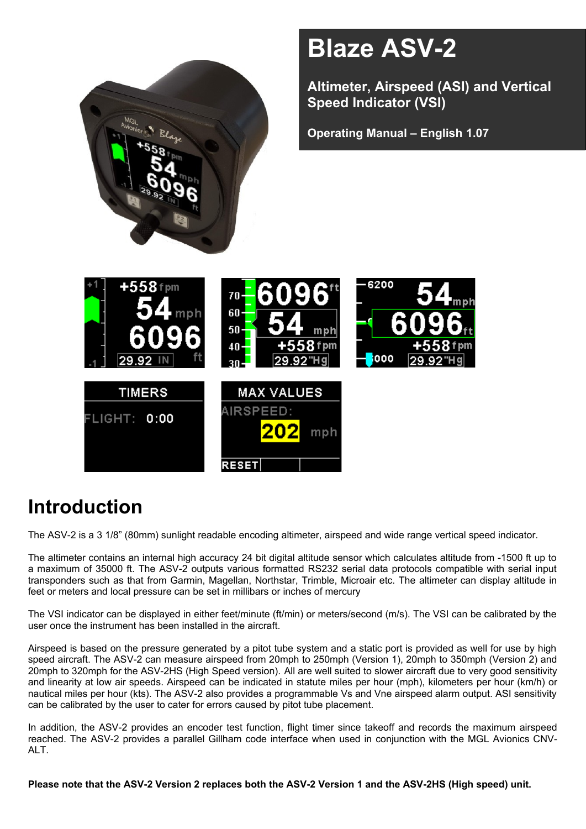

# **Introduction**

The ASV-2 is a 3 1/8" (80mm) sunlight readable encoding altimeter, airspeed and wide range vertical speed indicator.

The altimeter contains an internal high accuracy 24 bit digital altitude sensor which calculates altitude from -1500 ft up to a maximum of 35000 ft. The ASV-2 outputs various formatted RS232 serial data protocols compatible with serial input transponders such as that from Garmin, Magellan, Northstar, Trimble, Microair etc. The altimeter can display altitude in feet or meters and local pressure can be set in millibars or inches of mercury

The VSI indicator can be displayed in either feet/minute (ft/min) or meters/second (m/s). The VSI can be calibrated by the user once the instrument has been installed in the aircraft.

Airspeed is based on the pressure generated by a pitot tube system and a static port is provided as well for use by high speed aircraft. The ASV-2 can measure airspeed from 20mph to 250mph (Version 1), 20mph to 350mph (Version 2) and 20mph to 320mph for the ASV-2HS (High Speed version). All are well suited to slower aircraft due to very good sensitivity and linearity at low air speeds. Airspeed can be indicated in statute miles per hour (mph), kilometers per hour (km/h) or nautical miles per hour (kts). The ASV-2 also provides a programmable Vs and Vne airspeed alarm output. ASI sensitivity can be calibrated by the user to cater for errors caused by pitot tube placement.

In addition, the ASV-2 provides an encoder test function, flight timer since takeoff and records the maximum airspeed reached. The ASV-2 provides a parallel Gillham code interface when used in conjunction with the MGL Avionics CNV-ALT.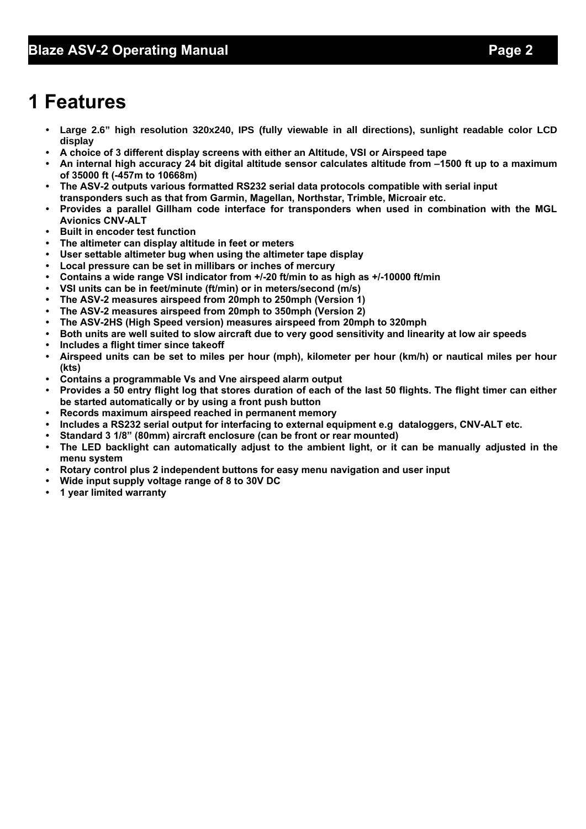# **1 Features**

- **• Large 2.6" high resolution 320x240, IPS (fully viewable in all directions), sunlight readable color LCD display**
- **• A choice of 3 different display screens with either an Altitude, VSI or Airspeed tape**
- **• An internal high accuracy 24 bit digital altitude sensor calculates altitude from –1500 ft up to a maximum of 35000 ft (-457m to 10668m)**
- **• The ASV-2 outputs various formatted RS232 serial data protocols compatible with serial input transponders such as that from Garmin, Magellan, Northstar, Trimble, Microair etc.**
- **• Provides a parallel Gillham code interface for transponders when used in combination with the MGL Avionics CNV-ALT**
- **• Built in encoder test function**
- **• The altimeter can display altitude in feet or meters**
- **• User settable altimeter bug when using the altimeter tape display**
- **• Local pressure can be set in millibars or inches of mercury**
- **• Contains a wide range VSI indicator from +/-20 ft/min to as high as +/-10000 ft/min**
- **• VSI units can be in feet/minute (ft/min) or in meters/second (m/s)**
- **• The ASV-2 measures airspeed from 20mph to 250mph (Version 1)**
- **• The ASV-2 measures airspeed from 20mph to 350mph (Version 2)**
- **• The ASV-2HS (High Speed version) measures airspeed from 20mph to 320mph**
- **• Both units are well suited to slow aircraft due to very good sensitivity and linearity at low air speeds**
- **• Includes a flight timer since takeoff**
- **• Airspeed units can be set to miles per hour (mph), kilometer per hour (km/h) or nautical miles per hour (kts)**
- **• Contains a programmable Vs and Vne airspeed alarm output**
- **• Provides a 50 entry flight log that stores duration of each of the last 50 flights. The flight timer can either be started automatically or by using a front push button**
- **• Records maximum airspeed reached in permanent memory**
- **• Includes a RS232 serial output for interfacing to external equipment e.g dataloggers, CNV-ALT etc.**
- **• Standard 3 1/8" (80mm) aircraft enclosure (can be front or rear mounted)**
- **• The LED backlight can automatically adjust to the ambient light, or it can be manually adjusted in the menu system**
- **• Rotary control plus 2 independent buttons for easy menu navigation and user input**
- **• Wide input supply voltage range of 8 to 30V DC**
- **• 1 year limited warranty**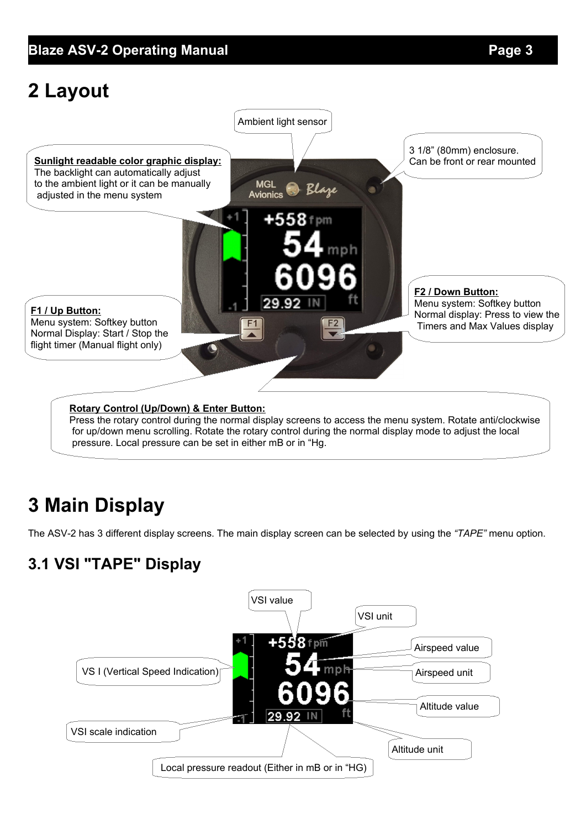### **Blaze ASV-2 Operating Manual** *Page 3*

# **2 Layout**



for up/down menu scrolling. Rotate the rotary control during the normal display mode to adjust the local pressure. Local pressure can be set in either mB or in "Hg.

# **3 Main Display**

The ASV-2 has 3 different display screens. The main display screen can be selected by using the *"TAPE"* menu option.

# **3.1 VSI "TAPE" Display**

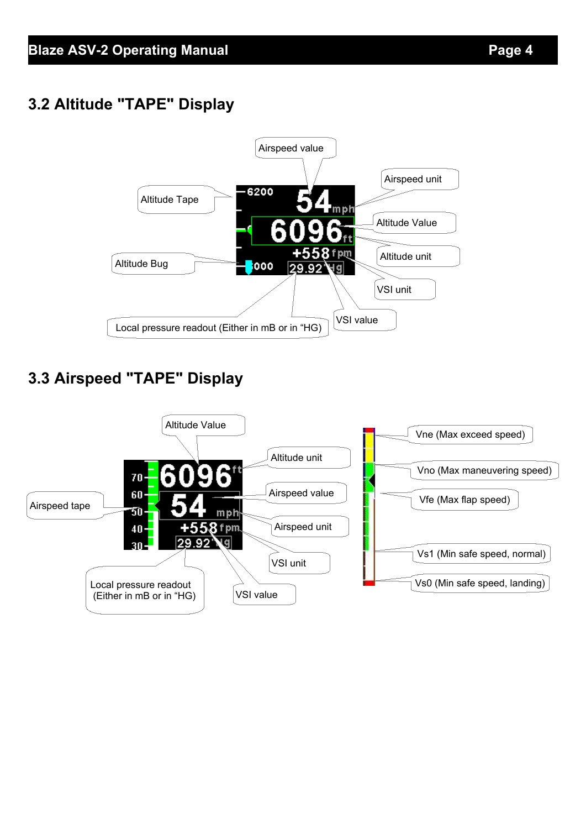# **3.2 Altitude "TAPE" Display**



# **3.3 Airspeed "TAPE" Display**

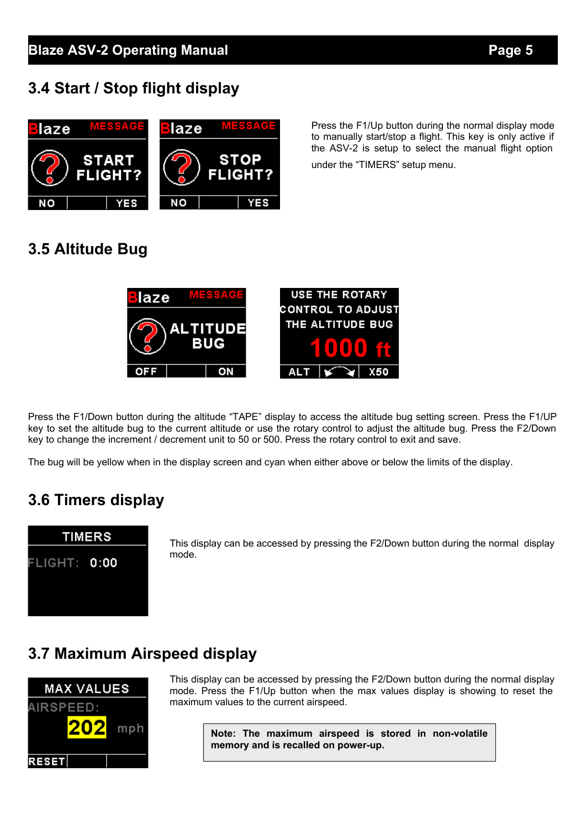### **3.4 Start / Stop flight display**



Press the F1/Up button during the normal display mode to manually start/stop a flight. This key is only active if the ASV-2 is setup to select the manual flight option

under the "TIMERS" setup menu.

 $X50$ 

### **3.5 Altitude Bug**



Press the F1/Down button during the altitude "TAPE" display to access the altitude bug setting screen. Press the F1/UP key to set the altitude bug to the current altitude or use the rotary control to adjust the altitude bug. Press the F2/Down key to change the increment / decrement unit to 50 or 500. Press the rotary control to exit and save.

The bug will be yellow when in the display screen and cyan when either above or below the limits of the display.

# **3.6 Timers display**



This display can be accessed by pressing the F2/Down button during the normal display mode.

### **3.7 Maximum Airspeed display**



This display can be accessed by pressing the F2/Down button during the normal display mode. Press the F1/Up button when the max values display is showing to reset the maximum values to the current airspeed.

> **Note: The maximum airspeed is stored in non-volatile memory and is recalled on power-up.**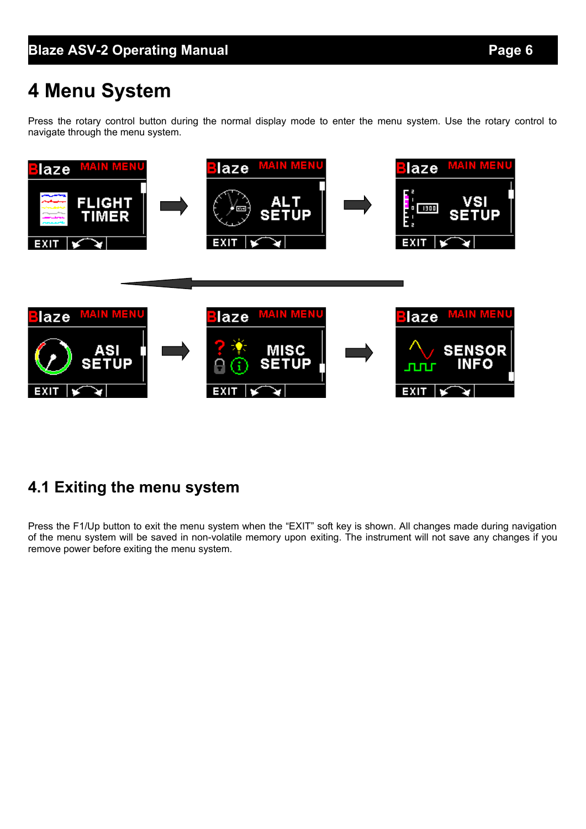# **4 Menu System**

Press the rotary control button during the normal display mode to enter the menu system. Use the rotary control to navigate through the menu system.



### **4.1 Exiting the menu system**

Press the F1/Up button to exit the menu system when the "EXIT" soft key is shown. All changes made during navigation of the menu system will be saved in non-volatile memory upon exiting. The instrument will not save any changes if you remove power before exiting the menu system.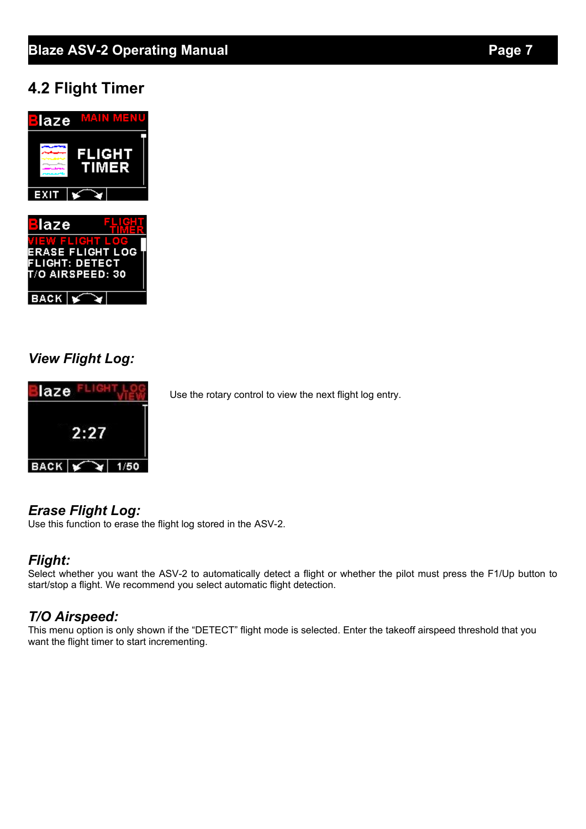## **Blaze ASV-2 Operating Manual** *Page 7*

### **4.2 Flight Timer**



#### *View Flight Log:*



# *Erase Flight Log:*

Use this function to erase the flight log stored in the ASV-2.

#### *Flight:*

Select whether you want the ASV-2 to automatically detect a flight or whether the pilot must press the F1/Up button to start/stop a flight. We recommend you select automatic flight detection.

### *T/O Airspeed:*

This menu option is only shown if the "DETECT" flight mode is selected. Enter the takeoff airspeed threshold that you want the flight timer to start incrementing.

Use the rotary control to view the next flight log entry.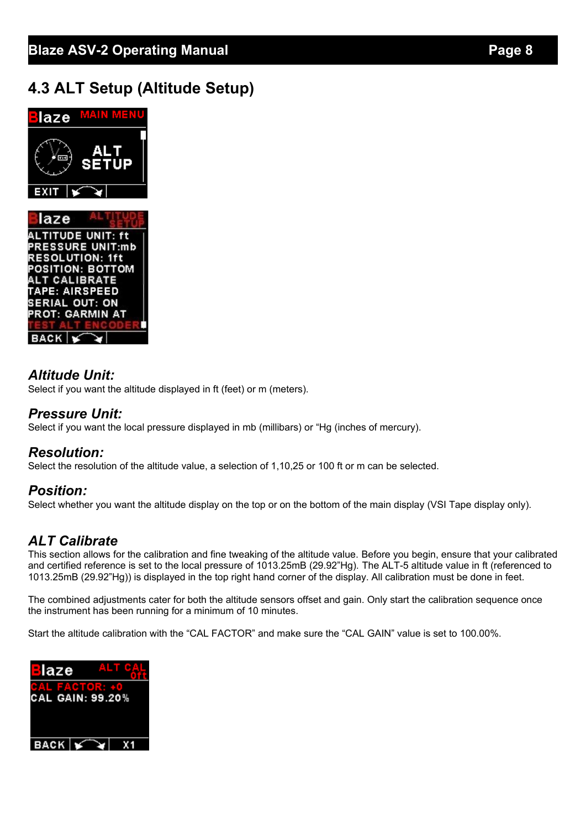## **4.3 ALT Setup (Altitude Setup)**



#### *Altitude Unit:*

Select if you want the altitude displayed in ft (feet) or m (meters).

#### *Pressure Unit:*

Select if you want the local pressure displayed in mb (millibars) or "Hg (inches of mercury).

#### *Resolution:*

Select the resolution of the altitude value, a selection of 1,10,25 or 100 ft or m can be selected.

#### *Position:*

Select whether you want the altitude display on the top or on the bottom of the main display (VSI Tape display only).

#### *ALT Calibrate*

This section allows for the calibration and fine tweaking of the altitude value. Before you begin, ensure that your calibrated and certified reference is set to the local pressure of 1013.25mB (29.92"Hg). The ALT-5 altitude value in ft (referenced to 1013.25mB (29.92"Hg)) is displayed in the top right hand corner of the display. All calibration must be done in feet.

The combined adjustments cater for both the altitude sensors offset and gain. Only start the calibration sequence once the instrument has been running for a minimum of 10 minutes.

Start the altitude calibration with the "CAL FACTOR" and make sure the "CAL GAIN" value is set to 100.00%.

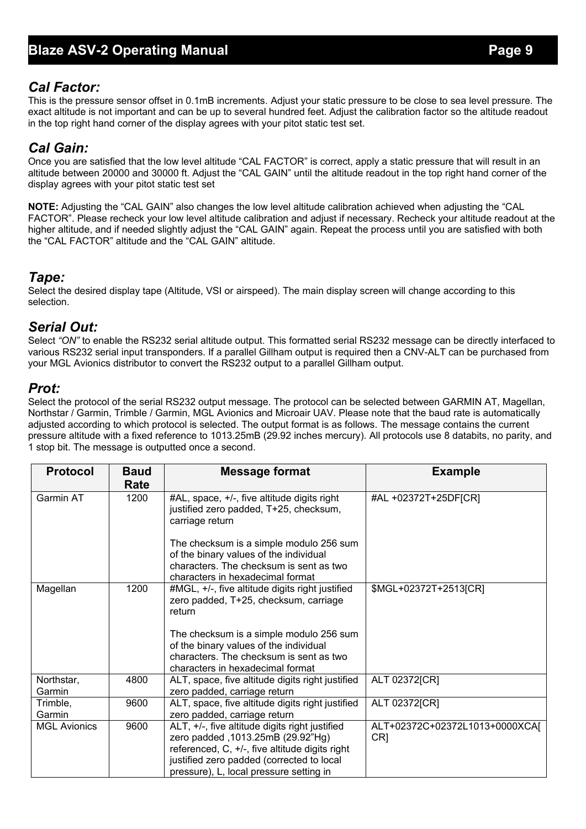#### *Cal Factor:*

This is the pressure sensor offset in 0.1mB increments. Adjust your static pressure to be close to sea level pressure. The exact altitude is not important and can be up to several hundred feet. Adjust the calibration factor so the altitude readout in the top right hand corner of the display agrees with your pitot static test set.

#### *Cal Gain:*

Once you are satisfied that the low level altitude "CAL FACTOR" is correct, apply a static pressure that will result in an altitude between 20000 and 30000 ft. Adjust the "CAL GAIN" until the altitude readout in the top right hand corner of the display agrees with your pitot static test set

**NOTE:** Adjusting the "CAL GAIN" also changes the low level altitude calibration achieved when adjusting the "CAL FACTOR". Please recheck your low level altitude calibration and adjust if necessary. Recheck your altitude readout at the higher altitude, and if needed slightly adjust the "CAL GAIN" again. Repeat the process until you are satisfied with both the "CAL FACTOR" altitude and the "CAL GAIN" altitude.

#### *Tape:*

Select the desired display tape (Altitude, VSI or airspeed). The main display screen will change according to this selection.

#### *Serial Out:*

Select "ON" to enable the RS232 serial altitude output. This formatted serial RS232 message can be directly interfaced to various RS232 serial input transponders. If a parallel Gillham output is required then a CNV-ALT can be purchased from your MGL Avionics distributor to convert the RS232 output to a parallel Gillham output.

#### *Prot:*

Select the protocol of the serial RS232 output message. The protocol can be selected between GARMIN AT, Magellan, Northstar / Garmin, Trimble / Garmin, MGL Avionics and Microair UAV. Please note that the baud rate is automatically adjusted according to which protocol is selected. The output format is as follows. The message contains the current pressure altitude with a fixed reference to 1013.25mB (29.92 inches mercury). All protocols use 8 databits, no parity, and 1 stop bit. The message is outputted once a second.

| <b>Protocol</b>      | <b>Baud</b><br>Rate | <b>Message format</b>                                                                                                                                                                                                         | <b>Example</b>                                    |
|----------------------|---------------------|-------------------------------------------------------------------------------------------------------------------------------------------------------------------------------------------------------------------------------|---------------------------------------------------|
| Garmin AT            | 1200                | #AL, space, +/-, five altitude digits right<br>justified zero padded, T+25, checksum,<br>carriage return                                                                                                                      | #AL +02372T+25DF[CR]                              |
|                      |                     | The checksum is a simple modulo 256 sum<br>of the binary values of the individual<br>characters. The checksum is sent as two<br>characters in hexadecimal format                                                              |                                                   |
| Magellan             | 1200                | #MGL, +/-, five altitude digits right justified<br>zero padded, T+25, checksum, carriage<br>return                                                                                                                            | \$MGL+02372T+2513[CR]                             |
|                      |                     | The checksum is a simple modulo 256 sum<br>of the binary values of the individual<br>characters. The checksum is sent as two<br>characters in hexadecimal format                                                              |                                                   |
| Northstar,<br>Garmin | 4800                | ALT, space, five altitude digits right justified<br>zero padded, carriage return                                                                                                                                              | ALT 02372[CR]                                     |
| Trimble,<br>Garmin   | 9600                | ALT, space, five altitude digits right justified<br>zero padded, carriage return                                                                                                                                              | ALT 02372[CR]                                     |
| <b>MGL Avionics</b>  | 9600                | ALT, +/-, five altitude digits right justified<br>zero padded, 1013.25mB (29.92"Hg)<br>referenced, C, +/-, five altitude digits right<br>justified zero padded (corrected to local<br>pressure), L, local pressure setting in | ALT+02372C+02372L1013+0000XCAJ<br>CR <sub>1</sub> |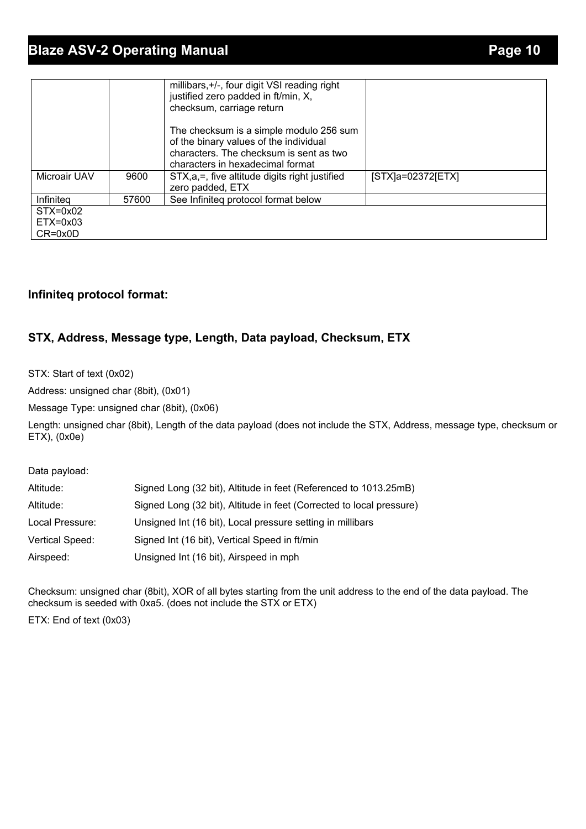## **Blaze ASV-2 Operating Manual** *Page 10* **Page 10**

|              |       | millibars, +/-, four digit VSI reading right<br>justified zero padded in ft/min, X,<br>checksum, carriage return                                                 |                   |
|--------------|-------|------------------------------------------------------------------------------------------------------------------------------------------------------------------|-------------------|
|              |       | The checksum is a simple modulo 256 sum<br>of the binary values of the individual<br>characters. The checksum is sent as two<br>characters in hexadecimal format |                   |
| Microair UAV | 9600  | STX, a, =, five altitude digits right justified<br>zero padded, ETX                                                                                              | [STX]a=02372[ETX] |
| Infiniteg    | 57600 | See Infiniteg protocol format below                                                                                                                              |                   |
| $STX=0x02$   |       |                                                                                                                                                                  |                   |
| $ETX=0x03$   |       |                                                                                                                                                                  |                   |
| $CR = 0x0D$  |       |                                                                                                                                                                  |                   |

#### **Infiniteq protocol format:**

#### **STX, Address, Message type, Length, Data payload, Checksum, ETX**

STX: Start of text (0x02)

Address: unsigned char (8bit), (0x01)

Message Type: unsigned char (8bit), (0x06)

Length: unsigned char (8bit), Length of the data payload (does not include the STX, Address, message type, checksum or ETX), (0x0e)

Data payload:

| Altitude:       | Signed Long (32 bit), Altitude in feet (Referenced to 1013.25mB)     |
|-----------------|----------------------------------------------------------------------|
| Altitude:       | Signed Long (32 bit), Altitude in feet (Corrected to local pressure) |
| Local Pressure: | Unsigned Int (16 bit), Local pressure setting in millibars           |
| Vertical Speed: | Signed Int (16 bit), Vertical Speed in ft/min                        |
| Airspeed:       | Unsigned Int (16 bit), Airspeed in mph                               |

Checksum: unsigned char (8bit), XOR of all bytes starting from the unit address to the end of the data payload. The checksum is seeded with 0xa5. (does not include the STX or ETX)

ETX: End of text (0x03)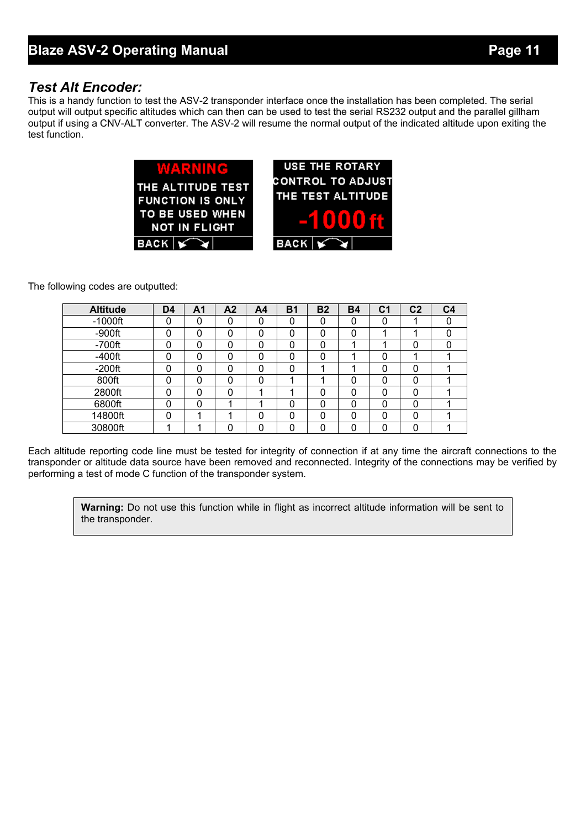#### *Test Alt Encoder:*

This is a handy function to test the ASV-2 transponder interface once the installation has been completed. The serial output will output specific altitudes which can then can be used to test the serial RS232 output and the parallel gillham output if using a CNV-ALT converter. The ASV-2 will resume the normal output of the indicated altitude upon exiting the test function.

| WARNING<br>THE ALTITUDE TEST<br><b>FUNCTION IS ONLY</b><br>TO BE USED WHEN<br><b>NOT IN FLIGHT</b><br>BACK Y | <b>USE THE ROTARY</b><br><b>CONTROL TO ADJUST</b><br>THE TEST ALTITUDE<br>-10006<br>$BACK$ $\sim$ |
|--------------------------------------------------------------------------------------------------------------|---------------------------------------------------------------------------------------------------|
|                                                                                                              |                                                                                                   |

The following codes are outputted:

| <b>Altitude</b> | D <sub>4</sub> | Α1 | A <sub>2</sub> | A <sub>4</sub> | <b>B1</b> | <b>B2</b> | <b>B4</b> | C1 | C <sub>2</sub> | C <sub>4</sub> |
|-----------------|----------------|----|----------------|----------------|-----------|-----------|-----------|----|----------------|----------------|
| $-1000$ ft      | ∩              |    | 0              | 0              | 0         |           | 0         |    |                |                |
| $-900$ ft       | n              |    | 0              | 0              | 0         | 0         | 0         |    |                |                |
| $-700$ ft       | n              |    | 0              | 0              | 0         | 0         |           |    | 0              |                |
| $-400$ ft       | ∩              |    | 0              | 0              | 0         |           |           | 0  |                |                |
| $-200ft$        | n              |    | 0              | 0              | 0         |           |           | ი  |                |                |
| 800ft           | n              | 0  | 0              | 0              |           |           | 0         | 0  | $\Omega$       |                |
| 2800ft          | ∩              |    | 0              |                |           |           | 0         | 0  | 0              |                |
| 6800ft          | n              | 0  |                |                | 0         | 0         | 0         | ი  | 0              |                |
| 14800ft         | ∩              |    |                | 0              | 0         | 0         | 0         | 0  | $\Omega$       |                |
| 30800ft         |                |    | 0              | O              | 0         |           | 0         |    |                |                |

Each altitude reporting code line must be tested for integrity of connection if at any time the aircraft connections to the transponder or altitude data source have been removed and reconnected. Integrity of the connections may be verified by performing a test of mode C function of the transponder system.

**Warning:** Do not use this function while in flight as incorrect altitude information will be sent to the transponder.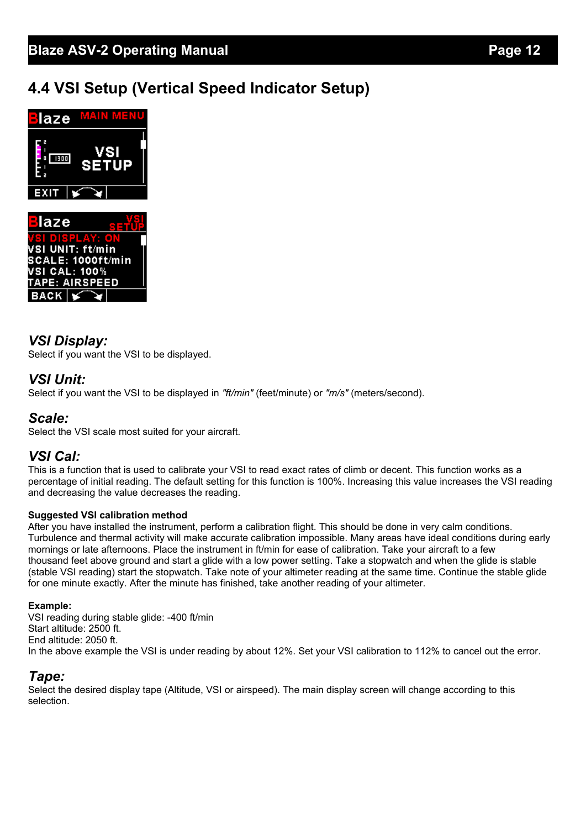# **4.4 VSI Setup (Vertical Speed Indicator Setup)**



### *VSI Display:*

Select if you want the VSI to be displayed.

#### *VSI Unit:*

Select if you want the VSI to be displayed in *"ft/min"* (feet/minute) or *"m/s"* (meters/second).

#### *Scale:*

Select the VSI scale most suited for your aircraft.

#### *VSI Cal:*

This is a function that is used to calibrate your VSI to read exact rates of climb or decent. This function works as a percentage of initial reading. The default setting for this function is 100%. Increasing this value increases the VSI reading and decreasing the value decreases the reading.

#### **Suggested VSI calibration method**

After you have installed the instrument, perform a calibration flight. This should be done in very calm conditions. Turbulence and thermal activity will make accurate calibration impossible. Many areas have ideal conditions during early mornings or late afternoons. Place the instrument in ft/min for ease of calibration. Take your aircraft to a few thousand feet above ground and start a glide with a low power setting. Take a stopwatch and when the glide is stable (stable VSI reading) start the stopwatch. Take note of your altimeter reading at the same time. Continue the stable glide for one minute exactly. After the minute has finished, take another reading of your altimeter.

#### **Example:**

VSI reading during stable glide: -400 ft/min Start altitude: 2500 ft. End altitude: 2050 ft. In the above example the VSI is under reading by about 12%. Set your VSI calibration to 112% to cancel out the error.

#### *Tape:*

Select the desired display tape (Altitude, VSI or airspeed). The main display screen will change according to this selection.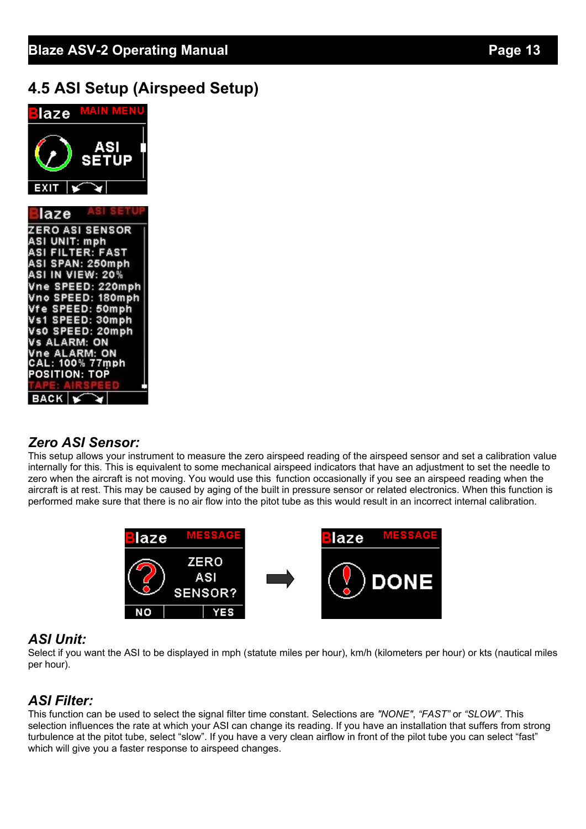### **4.5 ASI Setup (Airspeed Setup)**



#### *Zero ASI Sensor:*

This setup allows your instrument to measure the zero airspeed reading of the airspeed sensor and set a calibration value internally for this. This is equivalent to some mechanical airspeed indicators that have an adjustment to set the needle to zero when the aircraft is not moving. You would use this function occasionally if you see an airspeed reading when the aircraft is at rest. This may be caused by aging of the built in pressure sensor or related electronics. When this function is performed make sure that there is no air flow into the pitot tube as this would result in an incorrect internal calibration.



#### *ASI Unit:*

Select if you want the ASI to be displayed in mph (statute miles per hour), km/h (kilometers per hour) or kts (nautical miles per hour).

#### *ASI Filter:*

This function can be used to select the signal filter time constant. Selections are *"NONE"*, *"FAST"* or *"SLOW"*. This selection influences the rate at which your ASI can change its reading. If you have an installation that suffers from strong turbulence at the pitot tube, select "slow". If you have a very clean airflow in front of the pilot tube you can select "fast" which will give you a faster response to airspeed changes.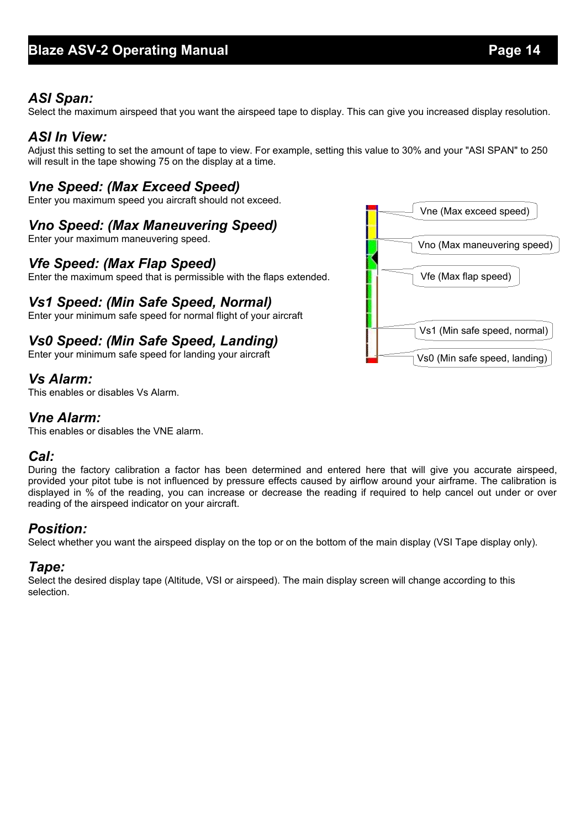#### *ASI Span:*

Select the maximum airspeed that you want the airspeed tape to display. This can give you increased display resolution.

#### *ASI In View:*

Adjust this setting to set the amount of tape to view. For example, setting this value to 30% and your "ASI SPAN" to 250 will result in the tape showing 75 on the display at a time.

#### *Vne Speed: (Max Exceed Speed)*

Enter you maximum speed you aircraft should not exceed.

#### *Vno Speed: (Max Maneuvering Speed)*

Enter your maximum maneuvering speed.

#### *Vfe Speed: (Max Flap Speed)*

Enter the maximum speed that is permissible with the flaps extended.

#### *Vs1 Speed: (Min Safe Speed, Normal)*

Enter your minimum safe speed for normal flight of your aircraft

#### *Vs0 Speed: (Min Safe Speed, Landing)*

Enter your minimum safe speed for landing your aircraft

#### *Vs Alarm:*

This enables or disables Vs Alarm.

#### *Vne Alarm:*

This enables or disables the VNE alarm.

#### *Cal:*

During the factory calibration a factor has been determined and entered here that will give you accurate airspeed, provided your pitot tube is not influenced by pressure effects caused by airflow around your airframe. The calibration is displayed in % of the reading, you can increase or decrease the reading if required to help cancel out under or over reading of the airspeed indicator on your aircraft.

#### *Position:*

Select whether you want the airspeed display on the top or on the bottom of the main display (VSI Tape display only).

#### *Tape:*

Select the desired display tape (Altitude, VSI or airspeed). The main display screen will change according to this selection.

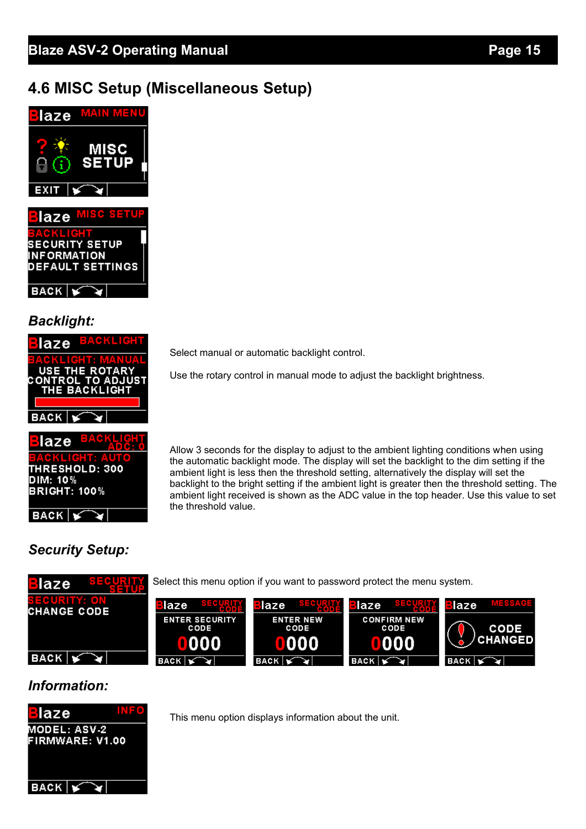## **4.6 MISC Setup (Miscellaneous Setup)**



### *Backlight:*

| laze <sup>BACKLIC</sup>                     |
|---------------------------------------------|
| <b>CKLICHT MAN</b><br><b>USE THE ROTARY</b> |
| <b>CONTROL TO ADJUST</b><br>THE BACKLIGHT   |
|                                             |
| <b>BACK</b>                                 |



# *Security Setup:*

BACK

Select manual or automatic backlight control.

Use the rotary control in manual mode to adjust the backlight brightness.

Allow 3 seconds for the display to adjust to the ambient lighting conditions when using the automatic backlight mode. The display will set the backlight to the dim setting if the ambient light is less then the threshold setting, alternatively the display will set the backlight to the bright setting if the ambient light is greater then the threshold setting. The ambient light received is shown as the ADC value in the top header. Use this value to set the threshold value.

#### Select this menu option if you want to password protect the menu system. laze laze laze laze laze **CHANGE CODE CONFIRM NEW**<br>CODE SECURITY<br>ODE ENTER NEW **ENTER** CODE **HANGED** n  $BACK$ >. **BACK BACK BACK BACK**

#### *Information:*



This menu option displays information about the unit.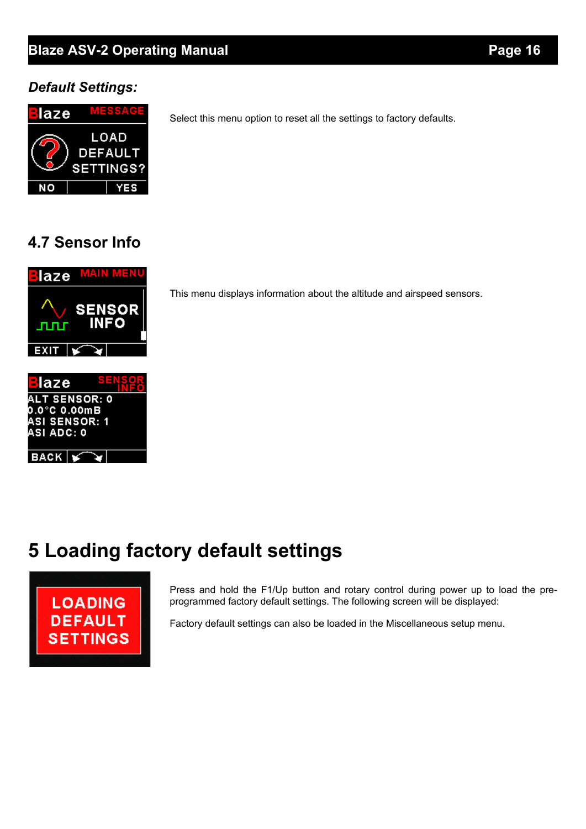### **Blaze ASV-2 Operating Manual** *Page 16* **Page 16**

### *Default Settings:*



Select this menu option to reset all the settings to factory defaults.

### **4.7 Sensor Info**



This menu displays information about the altitude and airspeed sensors.

# **5 Loading factory default settings**



Press and hold the F1/Up button and rotary control during power up to load the preprogrammed factory default settings. The following screen will be displayed:

Factory default settings can also be loaded in the Miscellaneous setup menu.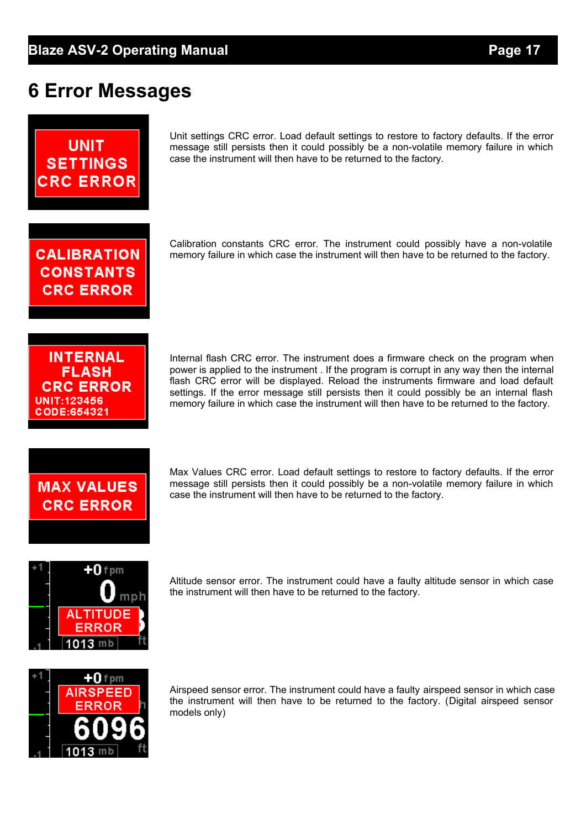# **6 Error Messages**



Unit settings CRC error. Load default settings to restore to factory defaults. If the error message still persists then it could possibly be a non-volatile memory failure in which case the instrument will then have to be returned to the factory.

Calibration constants CRC error. The instrument could possibly have a non-volatile memory failure in which case the instrument will then have to be returned to the factory.

**CALIBRATION CONSTANTS CRC ERROR** 

**INTERNAL FLASH CRC ERROR** UNIT:123456 CODE:654321

Internal flash CRC error. The instrument does a firmware check on the program when power is applied to the instrument . If the program is corrupt in any way then the internal flash CRC error will be displayed. Reload the instruments firmware and load default settings. If the error message still persists then it could possibly be an internal flash memory failure in which case the instrument will then have to be returned to the factory.

# **MAX VALUES CRC ERROR**

Max Values CRC error. Load default settings to restore to factory defaults. If the error message still persists then it could possibly be a non-volatile memory failure in which case the instrument will then have to be returned to the factory.



Altitude sensor error. The instrument could have a faulty altitude sensor in which case the instrument will then have to be returned to the factory.



Airspeed sensor error. The instrument could have a faulty airspeed sensor in which case the instrument will then have to be returned to the factory. (Digital airspeed sensor models only)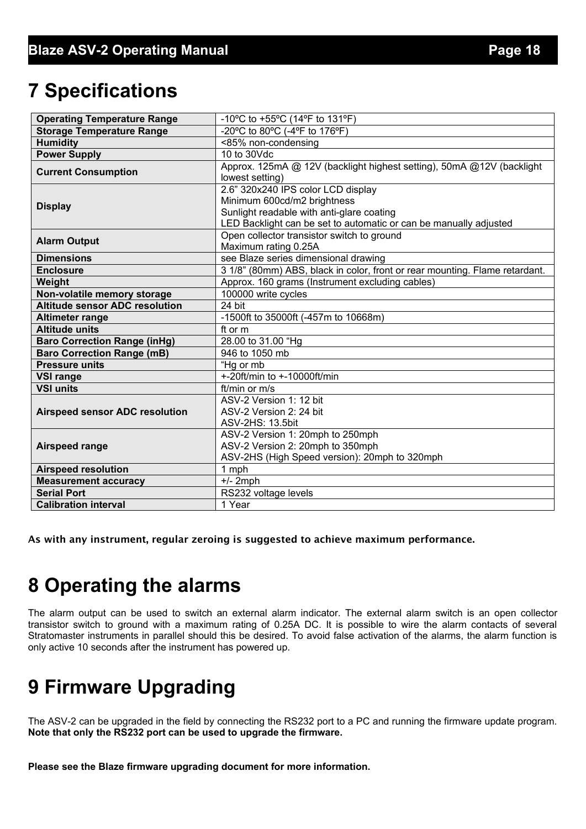# **7 Specifications**

| <b>Operating Temperature Range</b>    | -10°C to +55°C (14°F to 131°F)                                              |  |  |
|---------------------------------------|-----------------------------------------------------------------------------|--|--|
| <b>Storage Temperature Range</b>      | -20°C to 80°C (-4°F to 176°F)                                               |  |  |
| <b>Humidity</b>                       | <85% non-condensing                                                         |  |  |
| <b>Power Supply</b>                   | 10 to 30Vdc                                                                 |  |  |
| <b>Current Consumption</b>            | Approx. 125mA @ 12V (backlight highest setting), 50mA @12V (backlight       |  |  |
|                                       | lowest setting)                                                             |  |  |
|                                       | 2.6" 320x240 IPS color LCD display                                          |  |  |
| <b>Display</b>                        | Minimum 600cd/m2 brightness                                                 |  |  |
|                                       | Sunlight readable with anti-glare coating                                   |  |  |
|                                       | LED Backlight can be set to automatic or can be manually adjusted           |  |  |
| <b>Alarm Output</b>                   | Open collector transistor switch to ground                                  |  |  |
|                                       | Maximum rating 0.25A                                                        |  |  |
| <b>Dimensions</b>                     | see Blaze series dimensional drawing                                        |  |  |
| <b>Enclosure</b>                      | 3 1/8" (80mm) ABS, black in color, front or rear mounting. Flame retardant. |  |  |
| Weight                                | Approx. 160 grams (Instrument excluding cables)                             |  |  |
| Non-volatile memory storage           | 100000 write cycles                                                         |  |  |
| <b>Altitude sensor ADC resolution</b> | 24 bit                                                                      |  |  |
| <b>Altimeter range</b>                | -1500ft to 35000ft (-457m to 10668m)                                        |  |  |
| <b>Altitude units</b>                 | ft or m                                                                     |  |  |
| <b>Baro Correction Range (inHg)</b>   | 28.00 to 31.00 "Hg                                                          |  |  |
| <b>Baro Correction Range (mB)</b>     | 946 to 1050 mb                                                              |  |  |
| <b>Pressure units</b>                 | "Hg or mb                                                                   |  |  |
| <b>VSI range</b>                      | $+20$ ft/min to $+10000$ ft/min                                             |  |  |
| <b>VSI units</b>                      | ft/min or m/s                                                               |  |  |
|                                       | ASV-2 Version 1: 12 bit                                                     |  |  |
| <b>Airspeed sensor ADC resolution</b> | ASV-2 Version 2: 24 bit                                                     |  |  |
|                                       | ASV-2HS: 13.5bit                                                            |  |  |
|                                       | ASV-2 Version 1: 20mph to 250mph                                            |  |  |
| Airspeed range                        | ASV-2 Version 2: 20mph to 350mph                                            |  |  |
|                                       | ASV-2HS (High Speed version): 20mph to 320mph                               |  |  |
| <b>Airspeed resolution</b>            | 1 mph                                                                       |  |  |
| <b>Measurement accuracy</b>           | $+/- 2$ mph                                                                 |  |  |
| <b>Serial Port</b>                    | RS232 voltage levels                                                        |  |  |
| <b>Calibration interval</b>           | 1 Year                                                                      |  |  |

As with any instrument, regular zeroing is suggested to achieve maximum performance.

# **8 Operating the alarms**

The alarm output can be used to switch an external alarm indicator. The external alarm switch is an open collector transistor switch to ground with a maximum rating of 0.25A DC. It is possible to wire the alarm contacts of several Stratomaster instruments in parallel should this be desired. To avoid false activation of the alarms, the alarm function is only active 10 seconds after the instrument has powered up.

# **9 Firmware Upgrading**

The ASV-2 can be upgraded in the field by connecting the RS232 port to a PC and running the firmware update program. **Note that only the RS232 port can be used to upgrade the firmware.**

**Please see the Blaze firmware upgrading document for more information.**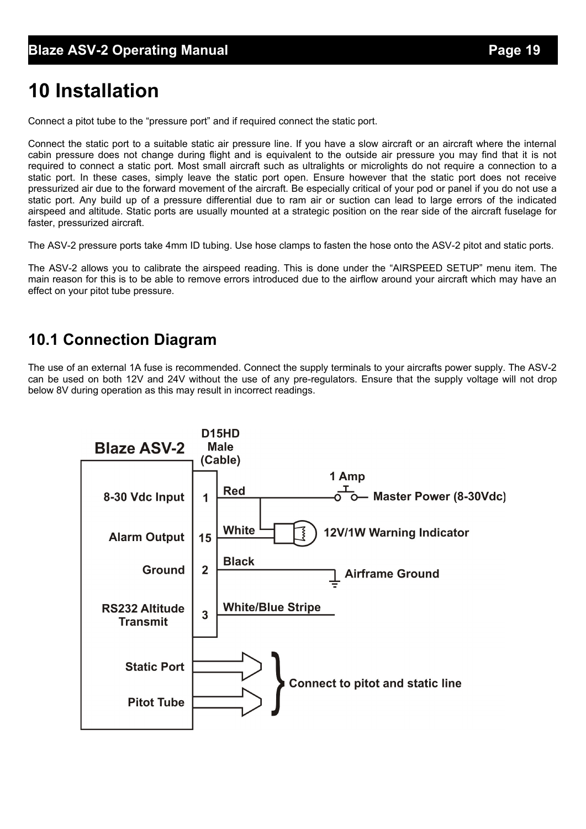# **10 Installation**

Connect a pitot tube to the "pressure port" and if required connect the static port.

Connect the static port to a suitable static air pressure line. If you have a slow aircraft or an aircraft where the internal cabin pressure does not change during flight and is equivalent to the outside air pressure you may find that it is not required to connect a static port. Most small aircraft such as ultralights or microlights do not require a connection to a static port. In these cases, simply leave the static port open. Ensure however that the static port does not receive pressurized air due to the forward movement of the aircraft. Be especially critical of your pod or panel if you do not use a static port. Any build up of a pressure differential due to ram air or suction can lead to large errors of the indicated airspeed and altitude. Static ports are usually mounted at a strategic position on the rear side of the aircraft fuselage for faster, pressurized aircraft.

The ASV-2 pressure ports take 4mm ID tubing. Use hose clamps to fasten the hose onto the ASV-2 pitot and static ports.

The ASV-2 allows you to calibrate the airspeed reading. This is done under the "AIRSPEED SETUP" menu item. The main reason for this is to be able to remove errors introduced due to the airflow around your aircraft which may have an effect on your pitot tube pressure.

### **10.1 Connection Diagram**

The use of an external 1A fuse is recommended. Connect the supply terminals to your aircrafts power supply. The ASV-2 can be used on both 12V and 24V without the use of any pre-regulators. Ensure that the supply voltage will not drop below 8V during operation as this may result in incorrect readings.

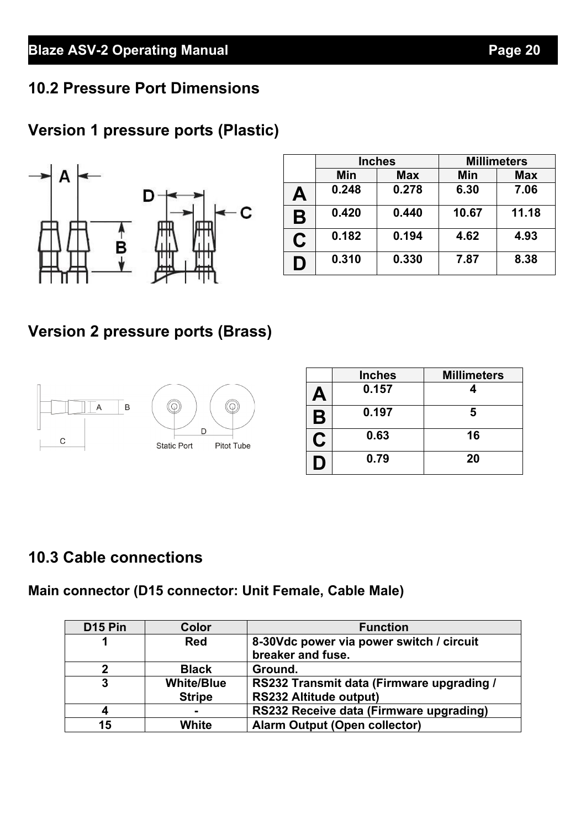### **10.2 Pressure Port Dimensions**

# **Version 1 pressure ports (Plastic)**



|   | <b>Inches</b> |            | <b>Millimeters</b> |            |  |
|---|---------------|------------|--------------------|------------|--|
|   | Min           | <b>Max</b> | Min                | <b>Max</b> |  |
| Α | 0.248         | 0.278      | 6.30               | 7.06       |  |
| B | 0.420         | 0.440      | 10.67              | 11.18      |  |
| C | 0.182         | 0.194      | 4.62               | 4.93       |  |
| D | 0.310         | 0.330      | 7.87               | 8.38       |  |

# **Version 2 pressure ports (Brass)**



|    | <b>Inches</b> | <b>Millimeters</b> |  |  |
|----|---------------|--------------------|--|--|
| А  | 0.157         |                    |  |  |
| Β  | 0.197         | 5                  |  |  |
| نا | 0.63          | 16                 |  |  |
| I. | 0.79          | 20                 |  |  |

### **10.3 Cable connections**

### **Main connector (D15 connector: Unit Female, Cable Male)**

| D <sub>15</sub> Pin | Color             | <b>Function</b>                           |
|---------------------|-------------------|-------------------------------------------|
|                     | <b>Red</b>        | 8-30Vdc power via power switch / circuit  |
|                     |                   | breaker and fuse.                         |
| 2                   | <b>Black</b>      | Ground.                                   |
| 3                   | <b>White/Blue</b> | RS232 Transmit data (Firmware upgrading / |
|                     | <b>Stripe</b>     | <b>RS232 Altitude output)</b>             |
| 4                   | -                 | RS232 Receive data (Firmware upgrading)   |
| 15                  | White             | <b>Alarm Output (Open collector)</b>      |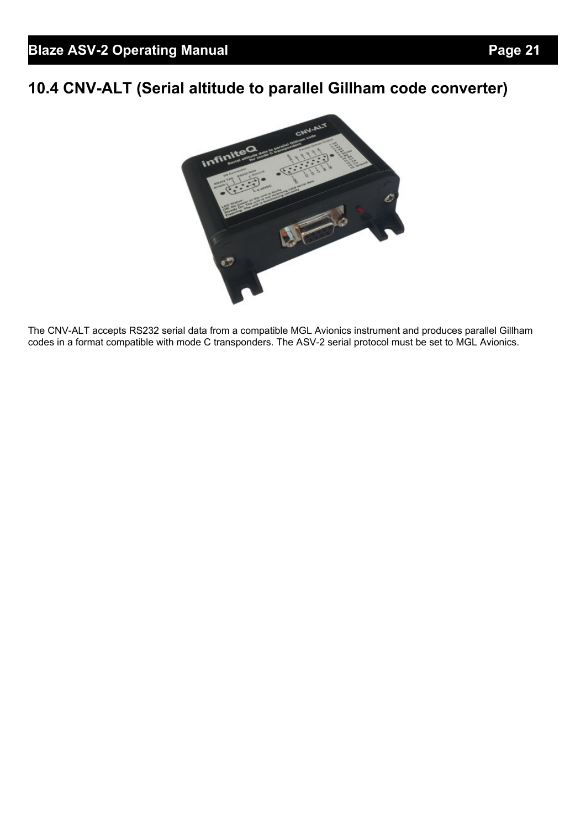# **10.4 CNV-ALT (Serial altitude to parallel Gillham code converter)**



The CNV-ALT accepts RS232 serial data from a compatible MGL Avionics instrument and produces parallel Gillham codes in a format compatible with mode C transponders. The ASV-2 serial protocol must be set to MGL Avionics.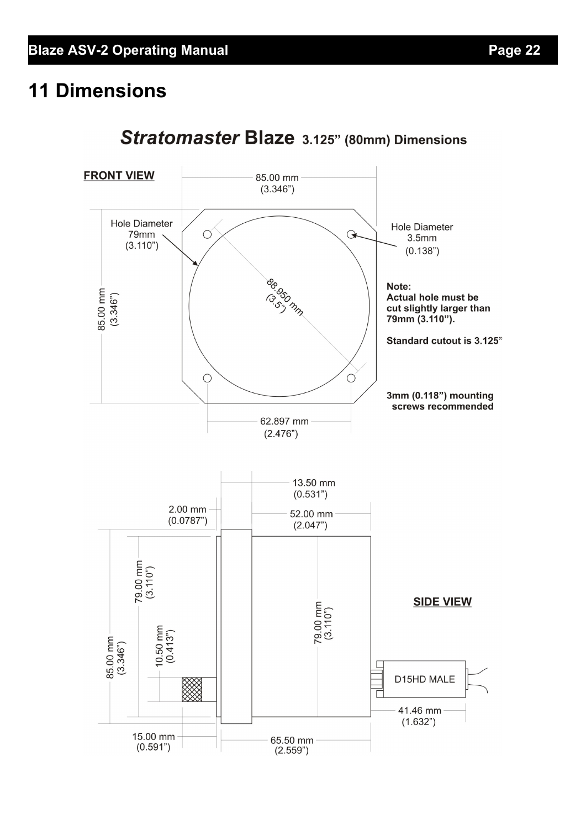# **11 Dimensions**



# Stratomaster Blaze 3.125" (80mm) Dimensions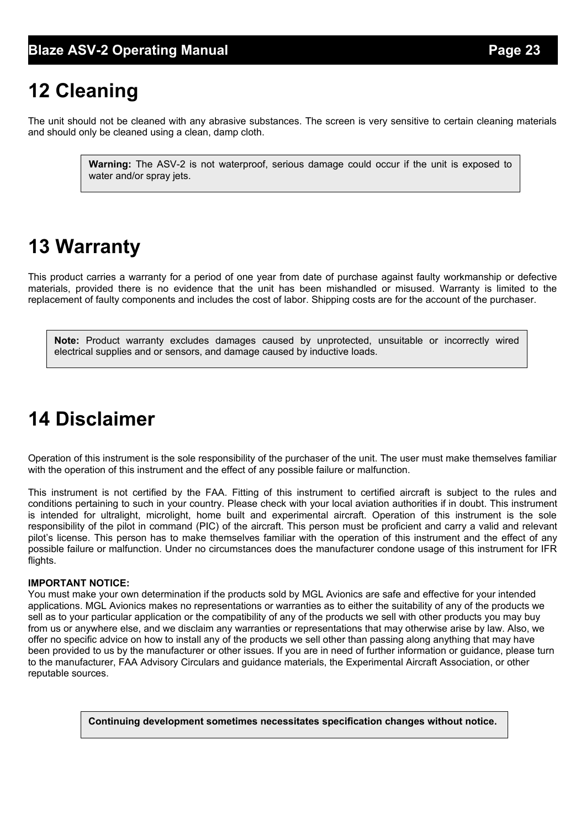# **12 Cleaning**

The unit should not be cleaned with any abrasive substances. The screen is very sensitive to certain cleaning materials and should only be cleaned using a clean, damp cloth.

> **Warning:** The ASV-2 is not waterproof, serious damage could occur if the unit is exposed to water and/or spray jets.

# **13 Warranty**

This product carries a warranty for a period of one year from date of purchase against faulty workmanship or defective materials, provided there is no evidence that the unit has been mishandled or misused. Warranty is limited to the replacement of faulty components and includes the cost of labor. Shipping costs are for the account of the purchaser.

**Note:** Product warranty excludes damages caused by unprotected, unsuitable or incorrectly wired electrical supplies and or sensors, and damage caused by inductive loads.

# **14 Disclaimer**

Operation of this instrument is the sole responsibility of the purchaser of the unit. The user must make themselves familiar with the operation of this instrument and the effect of any possible failure or malfunction.

This instrument is not certified by the FAA. Fitting of this instrument to certified aircraft is subject to the rules and conditions pertaining to such in your country. Please check with your local aviation authorities if in doubt. This instrument is intended for ultralight, microlight, home built and experimental aircraft. Operation of this instrument is the sole responsibility of the pilot in command (PIC) of the aircraft. This person must be proficient and carry a valid and relevant pilot's license. This person has to make themselves familiar with the operation of this instrument and the effect of any possible failure or malfunction. Under no circumstances does the manufacturer condone usage of this instrument for IFR flights.

#### **IMPORTANT NOTICE:**

You must make your own determination if the products sold by MGL Avionics are safe and effective for your intended applications. MGL Avionics makes no representations or warranties as to either the suitability of any of the products we sell as to your particular application or the compatibility of any of the products we sell with other products you may buy from us or anywhere else, and we disclaim any warranties or representations that may otherwise arise by law. Also, we offer no specific advice on how to install any of the products we sell other than passing along anything that may have been provided to us by the manufacturer or other issues. If you are in need of further information or guidance, please turn to the manufacturer, FAA Advisory Circulars and guidance materials, the Experimental Aircraft Association, or other reputable sources.

**Continuing development sometimes necessitates specification changes without notice.**